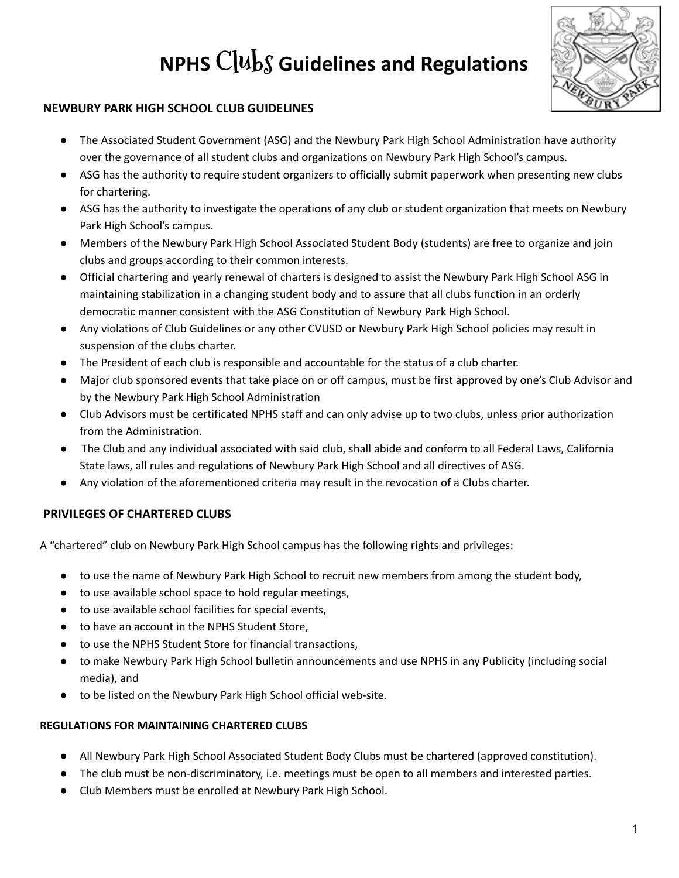# **NPHS Clubs Guidelines and Regulations**



# **NEWBURY PARK HIGH SCHOOL CLUB GUIDELINES**

- The Associated Student Government (ASG) and the Newbury Park High School Administration have authority over the governance of all student clubs and organizations on Newbury Park High School's campus.
- ASG has the authority to require student organizers to officially submit paperwork when presenting new clubs for chartering.
- ASG has the authority to investigate the operations of any club or student organization that meets on Newbury Park High School's campus.
- Members of the Newbury Park High School Associated Student Body (students) are free to organize and join clubs and groups according to their common interests.
- Official chartering and yearly renewal of charters is designed to assist the Newbury Park High School ASG in maintaining stabilization in a changing student body and to assure that all clubs function in an orderly democratic manner consistent with the ASG Constitution of Newbury Park High School.
- Any violations of Club Guidelines or any other CVUSD or Newbury Park High School policies may result in suspension of the clubs charter.
- The President of each club is responsible and accountable for the status of a club charter.
- Major club sponsored events that take place on or off campus, must be first approved by one's Club Advisor and by the Newbury Park High School Administration
- Club Advisors must be certificated NPHS staff and can only advise up to two clubs, unless prior authorization from the Administration.
- The Club and any individual associated with said club, shall abide and conform to all Federal Laws, California State laws, all rules and regulations of Newbury Park High School and all directives of ASG.
- Any violation of the aforementioned criteria may result in the revocation of a Clubs charter.

# **PRIVILEGES OF CHARTERED CLUBS**

A "chartered" club on Newbury Park High School campus has the following rights and privileges:

- to use the name of Newbury Park High School to recruit new members from among the student body,
- to use available school space to hold regular meetings,
- to use available school facilities for special events,
- to have an account in the NPHS Student Store,
- to use the NPHS Student Store for financial transactions,
- to make Newbury Park High School bulletin announcements and use NPHS in any Publicity (including social media), and
- to be listed on the Newbury Park High School official web-site.

## **REGULATIONS FOR MAINTAINING CHARTERED CLUBS**

- All Newbury Park High School Associated Student Body Clubs must be chartered (approved constitution).
- The club must be non-discriminatory, i.e. meetings must be open to all members and interested parties.
- Club Members must be enrolled at Newbury Park High School.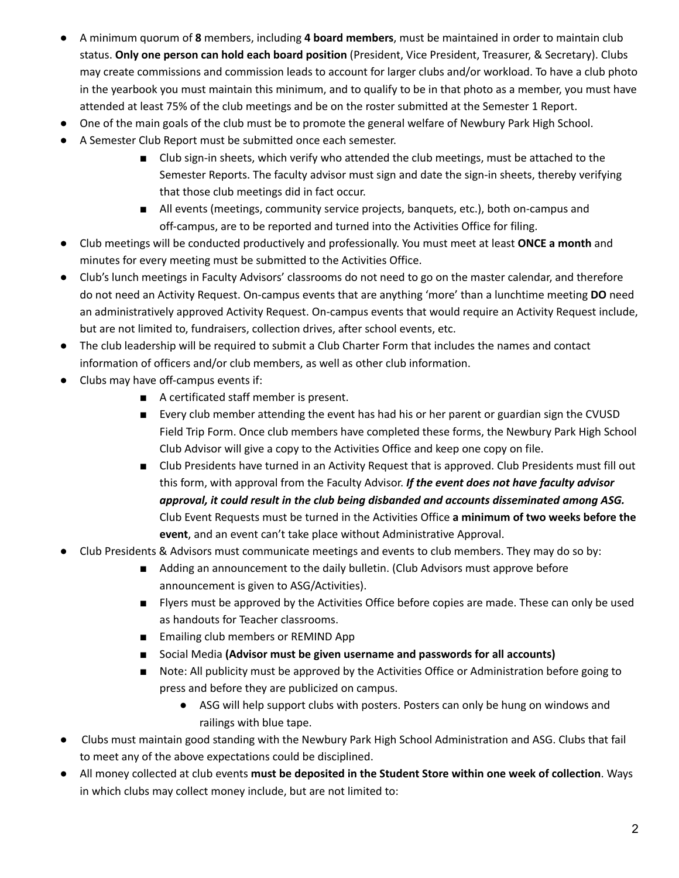- A minimum quorum of **8** members, including **4 board members**, must be maintained in order to maintain club status. **Only one person can hold each board position** (President, Vice President, Treasurer, & Secretary). Clubs may create commissions and commission leads to account for larger clubs and/or workload. To have a club photo in the yearbook you must maintain this minimum, and to qualify to be in that photo as a member, you must have attended at least 75% of the club meetings and be on the roster submitted at the Semester 1 Report.
- One of the main goals of the club must be to promote the general welfare of Newbury Park High School.
- A Semester Club Report must be submitted once each semester.
	- Club sign-in sheets, which verify who attended the club meetings, must be attached to the Semester Reports. The faculty advisor must sign and date the sign-in sheets, thereby verifying that those club meetings did in fact occur.
	- All events (meetings, community service projects, banquets, etc.), both on-campus and off-campus, are to be reported and turned into the Activities Office for filing.
- Club meetings will be conducted productively and professionally. You must meet at least **ONCE a month** and minutes for every meeting must be submitted to the Activities Office.
- Club's lunch meetings in Faculty Advisors' classrooms do not need to go on the master calendar, and therefore do not need an Activity Request. On-campus events that are anything 'more' than a lunchtime meeting **DO** need an administratively approved Activity Request. On-campus events that would require an Activity Request include, but are not limited to, fundraisers, collection drives, after school events, etc.
- The club leadership will be required to submit a Club Charter Form that includes the names and contact information of officers and/or club members, as well as other club information.
- Clubs may have off-campus events if:
	- A certificated staff member is present.
	- Every club member attending the event has had his or her parent or guardian sign the CVUSD Field Trip Form. Once club members have completed these forms, the Newbury Park High School Club Advisor will give a copy to the Activities Office and keep one copy on file.
	- Club Presidents have turned in an Activity Request that is approved. Club Presidents must fill out this form, with approval from the Faculty Advisor. *If the event does not have faculty advisor approval, it could result in the club being disbanded and accounts disseminated among ASG.* Club Event Requests must be turned in the Activities Office **a minimum of two weeks before the event**, and an event can't take place without Administrative Approval.
- Club Presidents & Advisors must communicate meetings and events to club members. They may do so by:
	- Adding an announcement to the daily bulletin. (Club Advisors must approve before announcement is given to ASG/Activities).
	- Flyers must be approved by the Activities Office before copies are made. These can only be used as handouts for Teacher classrooms.
	- Emailing club members or REMIND App
	- Social Media **(Advisor must be given username and passwords for all accounts)**
	- Note: All publicity must be approved by the Activities Office or Administration before going to press and before they are publicized on campus.
		- ASG will help support clubs with posters. Posters can only be hung on windows and railings with blue tape.
- Clubs must maintain good standing with the Newbury Park High School Administration and ASG. Clubs that fail to meet any of the above expectations could be disciplined.
- All money collected at club events **must be deposited in the Student Store within one week of collection**. Ways in which clubs may collect money include, but are not limited to: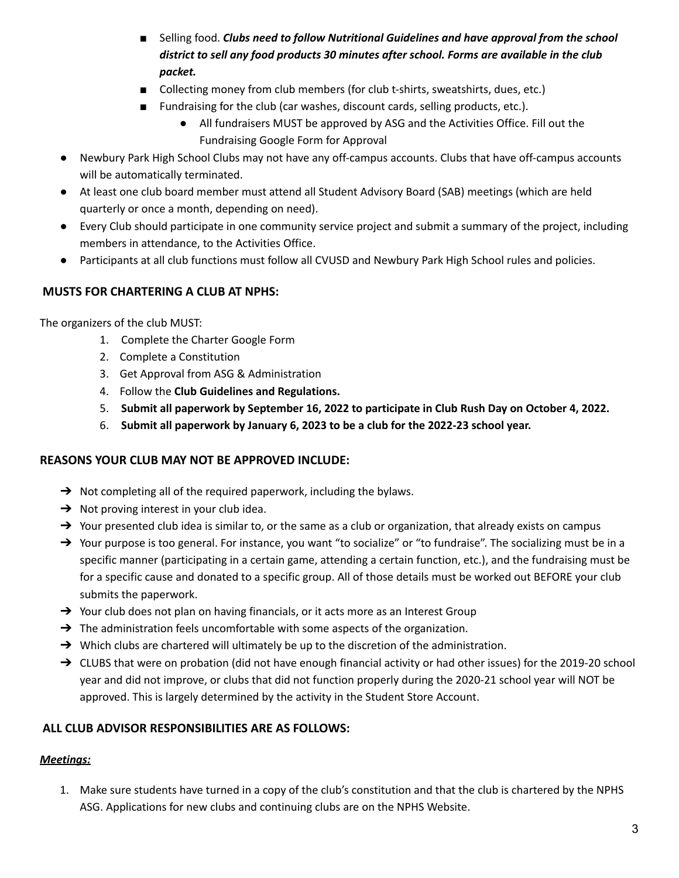- Selling food. *Clubs need to follow Nutritional Guidelines and have approval from the school district to sell any food products 30 minutes after school. Forms are available in the club packet.*
- Collecting money from club members (for club t-shirts, sweatshirts, dues, etc.)
- Fundraising for the club (car washes, discount cards, selling products, etc.).
	- All fundraisers MUST be approved by ASG and the Activities Office. Fill out the Fundraising Google Form for Approval
- Newbury Park High School Clubs may not have any off-campus accounts. Clubs that have off-campus accounts will be automatically terminated.
- At least one club board member must attend all Student Advisory Board (SAB) meetings (which are held quarterly or once a month, depending on need).
- Every Club should participate in one community service project and submit a summary of the project, including members in attendance, to the Activities Office.
- Participants at all club functions must follow all CVUSD and Newbury Park High School rules and policies.

# **MUSTS FOR CHARTERING A CLUB AT NPHS:**

The organizers of the club MUST:

- 1. Complete the Charter Google Form
- 2. Complete a Constitution
- 3. Get Approval from ASG & Administration
- 4. Follow the **Club Guidelines and Regulations.**
- 5. **Submit all paperwork by September 16, 2022 to participate in Club Rush Day on October 4, 2022.**
- 6. **Submit all paperwork by January 6, 2023 to be a club for the 2022-23 school year.**

## **REASONS YOUR CLUB MAY NOT BE APPROVED INCLUDE:**

- $\rightarrow$  Not completing all of the required paperwork, including the bylaws.
- $\rightarrow$  Not proving interest in your club idea.
- $\rightarrow$  Your presented club idea is similar to, or the same as a club or organization, that already exists on campus
- → Your purpose is too general. For instance, you want "to socialize" or "to fundraise". The socializing must be in a specific manner (participating in a certain game, attending a certain function, etc.), and the fundraising must be for a specific cause and donated to a specific group. All of those details must be worked out BEFORE your club submits the paperwork.
- $\rightarrow$  Your club does not plan on having financials, or it acts more as an Interest Group
- $\rightarrow$  The administration feels uncomfortable with some aspects of the organization.
- → Which clubs are chartered will ultimately be up to the discretion of the administration.
- → CLUBS that were on probation (did not have enough financial activity or had other issues) for the 2019-20 school year and did not improve, or clubs that did not function properly during the 2020-21 school year will NOT be approved. This is largely determined by the activity in the Student Store Account.

# **ALL CLUB ADVISOR RESPONSIBILITIES ARE AS FOLLOWS:**

## *Meetings:*

1. Make sure students have turned in a copy of the club's constitution and that the club is chartered by the NPHS ASG. Applications for new clubs and continuing clubs are on the NPHS Website.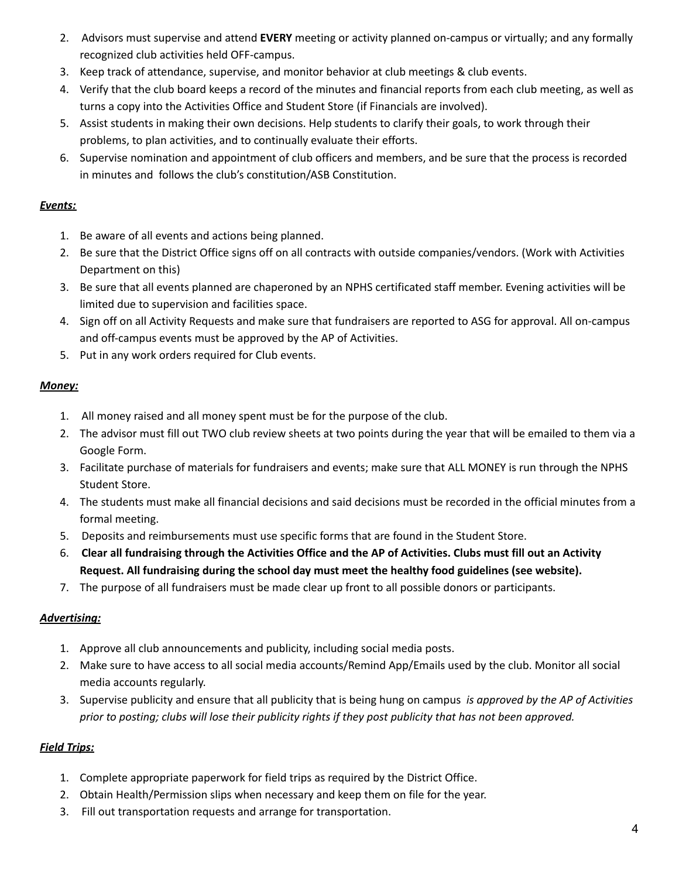- 2. Advisors must supervise and attend **EVERY** meeting or activity planned on-campus or virtually; and any formally recognized club activities held OFF-campus.
- 3. Keep track of attendance, supervise, and monitor behavior at club meetings & club events.
- 4. Verify that the club board keeps a record of the minutes and financial reports from each club meeting, as well as turns a copy into the Activities Office and Student Store (if Financials are involved).
- 5. Assist students in making their own decisions. Help students to clarify their goals, to work through their problems, to plan activities, and to continually evaluate their efforts.
- 6. Supervise nomination and appointment of club officers and members, and be sure that the process is recorded in minutes and follows the club's constitution/ASB Constitution.

## *Events:*

- 1. Be aware of all events and actions being planned.
- 2. Be sure that the District Office signs off on all contracts with outside companies/vendors. (Work with Activities Department on this)
- 3. Be sure that all events planned are chaperoned by an NPHS certificated staff member. Evening activities will be limited due to supervision and facilities space.
- 4. Sign off on all Activity Requests and make sure that fundraisers are reported to ASG for approval. All on-campus and off-campus events must be approved by the AP of Activities.
- 5. Put in any work orders required for Club events.

## *Money:*

- 1. All money raised and all money spent must be for the purpose of the club.
- 2. The advisor must fill out TWO club review sheets at two points during the year that will be emailed to them via a Google Form.
- 3. Facilitate purchase of materials for fundraisers and events; make sure that ALL MONEY is run through the NPHS Student Store.
- 4. The students must make all financial decisions and said decisions must be recorded in the official minutes from a formal meeting.
- 5. Deposits and reimbursements must use specific forms that are found in the Student Store.
- 6. Clear all fundraising through the Activities Office and the AP of Activities. Clubs must fill out an Activity **Request. All fundraising during the school day must meet the healthy food guidelines (see website).**
- 7. The purpose of all fundraisers must be made clear up front to all possible donors or participants.

# *Advertising:*

- 1. Approve all club announcements and publicity, including social media posts.
- 2. Make sure to have access to all social media accounts/Remind App/Emails used by the club. Monitor all social media accounts regularly.
- 3. Supervise publicity and ensure that all publicity that is being hung on campus *is approved by the AP of Activities* prior to posting; clubs will lose their publicity rights if they post publicity that has not been approved.

# *Field Trips:*

- 1. Complete appropriate paperwork for field trips as required by the District Office.
- 2. Obtain Health/Permission slips when necessary and keep them on file for the year.
- 3. Fill out transportation requests and arrange for transportation.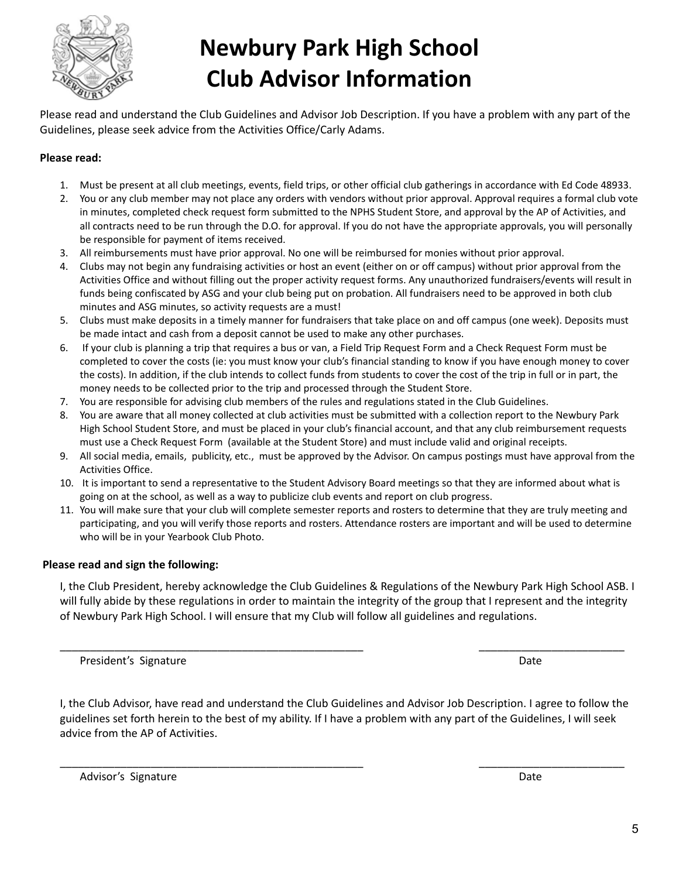

# **Newbury Park High School Club Advisor Information**

Please read and understand the Club Guidelines and Advisor Job Description. If you have a problem with any part of the Guidelines, please seek advice from the Activities Office/Carly Adams.

## **Please read:**

- 1. Must be present at all club meetings, events, field trips, or other official club gatherings in accordance with Ed Code 48933.
- 2. You or any club member may not place any orders with vendors without prior approval. Approval requires a formal club vote in minutes, completed check request form submitted to the NPHS Student Store, and approval by the AP of Activities, and all contracts need to be run through the D.O. for approval. If you do not have the appropriate approvals, you will personally be responsible for payment of items received.
- 3. All reimbursements must have prior approval. No one will be reimbursed for monies without prior approval.
- 4. Clubs may not begin any fundraising activities or host an event (either on or off campus) without prior approval from the Activities Office and without filling out the proper activity request forms. Any unauthorized fundraisers/events will result in funds being confiscated by ASG and your club being put on probation. All fundraisers need to be approved in both club minutes and ASG minutes, so activity requests are a must!
- 5. Clubs must make deposits in a timely manner for fundraisers that take place on and off campus (one week). Deposits must be made intact and cash from a deposit cannot be used to make any other purchases.
- 6. If your club is planning a trip that requires a bus or van, a Field Trip Request Form and a Check Request Form must be completed to cover the costs (ie: you must know your club's financial standing to know if you have enough money to cover the costs). In addition, if the club intends to collect funds from students to cover the cost of the trip in full or in part, the money needs to be collected prior to the trip and processed through the Student Store.
- 7. You are responsible for advising club members of the rules and regulations stated in the Club Guidelines.
- 8. You are aware that all money collected at club activities must be submitted with a collection report to the Newbury Park High School Student Store, and must be placed in your club's financial account, and that any club reimbursement requests must use a Check Request Form (available at the Student Store) and must include valid and original receipts.
- 9. All social media, emails, publicity, etc., must be approved by the Advisor. On campus postings must have approval from the Activities Office.
- 10. It is important to send a representative to the Student Advisory Board meetings so that they are informed about what is going on at the school, as well as a way to publicize club events and report on club progress.
- 11. You will make sure that your club will complete semester reports and rosters to determine that they are truly meeting and participating, and you will verify those reports and rosters. Attendance rosters are important and will be used to determine who will be in your Yearbook Club Photo.

#### **Please read and sign the following:**

I, the Club President, hereby acknowledge the Club Guidelines & Regulations of the Newbury Park High School ASB. I will fully abide by these regulations in order to maintain the integrity of the group that I represent and the integrity of Newbury Park High School. I will ensure that my Club will follow all guidelines and regulations.

\_\_\_\_\_\_\_\_\_\_\_\_\_\_\_\_\_\_\_\_\_\_\_\_\_\_\_\_\_\_\_\_\_\_\_\_\_\_\_\_\_\_\_\_\_\_\_\_\_\_ \_\_\_\_\_\_\_\_\_\_\_\_\_\_\_\_\_\_\_\_\_\_\_\_

President's Signature **Date** Date of *President's* Signature **Date** Date of *President's* Signature **Date** 

I, the Club Advisor, have read and understand the Club Guidelines and Advisor Job Description. I agree to follow the guidelines set forth herein to the best of my ability. If I have a problem with any part of the Guidelines, I will seek advice from the AP of Activities.

\_\_\_\_\_\_\_\_\_\_\_\_\_\_\_\_\_\_\_\_\_\_\_\_\_\_\_\_\_\_\_\_\_\_\_\_\_\_\_\_\_\_\_\_\_\_\_\_\_\_ \_\_\_\_\_\_\_\_\_\_\_\_\_\_\_\_\_\_\_\_\_\_\_\_

Advisor's Signature Date Date of the Date of the Date of the Date of the Date of the Date of the Date of the Date of the Date of the Date of the Date of the Date of the Date of the Date of the Date of the Date of the Date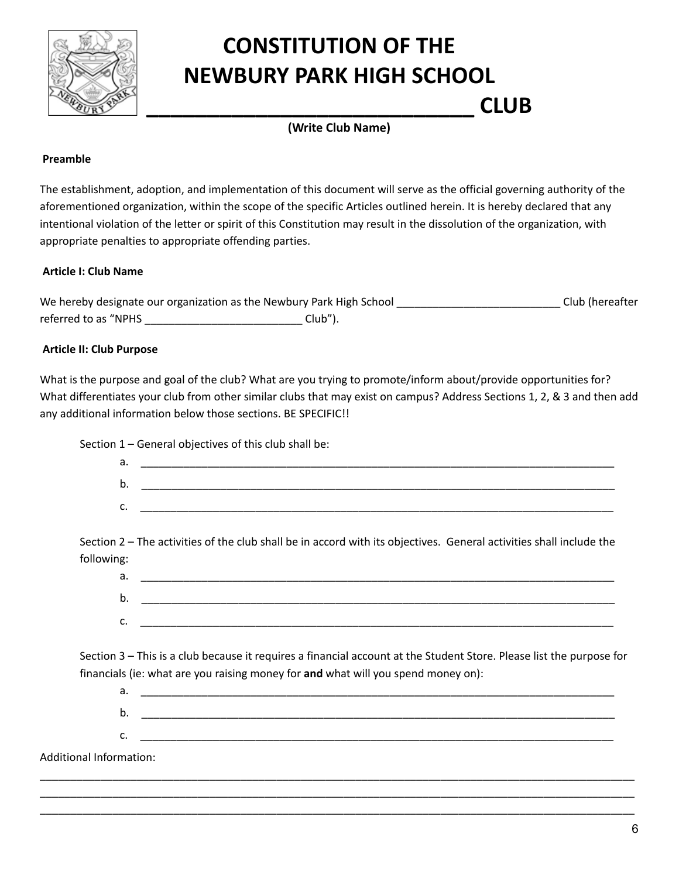

# **CONSTITUTION OF THE NEWBURY PARK HIGH SCHOOL**

**\_\_\_\_\_\_\_\_\_\_\_\_\_\_\_\_\_\_\_\_\_\_\_\_\_\_\_ CLUB (Write Club Name)**

#### **Preamble**

The establishment, adoption, and implementation of this document will serve as the official governing authority of the aforementioned organization, within the scope of the specific Articles outlined herein. It is hereby declared that any intentional violation of the letter or spirit of this Constitution may result in the dissolution of the organization, with appropriate penalties to appropriate offending parties.

## **Article I: Club Name**

We hereby designate our organization as the Newbury Park High School \_\_\_\_\_\_\_\_\_\_\_\_\_\_\_\_\_\_\_\_\_\_\_\_\_\_\_\_\_\_\_\_Club (hereafter referred to as "NPHS \_\_\_\_\_\_\_\_\_\_\_\_\_\_\_\_\_\_\_\_\_\_\_\_\_\_ Club").

## **Article II: Club Purpose**

What is the purpose and goal of the club? What are you trying to promote/inform about/provide opportunities for? What differentiates your club from other similar clubs that may exist on campus? Address Sections 1, 2, & 3 and then add any additional information below those sections. BE SPECIFIC!!

Section 1 – General objectives of this club shall be:

| а. |  |
|----|--|
| N. |  |
| ັ. |  |

Section 2 – The activities of the club shall be in accord with its objectives. General activities shall include the following:

a. \_\_\_\_\_\_\_\_\_\_\_\_\_\_\_\_\_\_\_\_\_\_\_\_\_\_\_\_\_\_\_\_\_\_\_\_\_\_\_\_\_\_\_\_\_\_\_\_\_\_\_\_\_\_\_\_\_\_\_\_\_\_\_\_\_\_\_\_\_\_\_\_\_\_\_\_\_\_  $\mathsf{b}.$  $c.$ 

Section 3 – This is a club because it requires a financial account at the Student Store. Please list the purpose for financials (ie: what are you raising money for **and** what will you spend money on):

a.  $\overline{\phantom{a}}$  $\mathsf b.$ 

c. \_\_\_\_\_\_\_\_\_\_\_\_\_\_\_\_\_\_\_\_\_\_\_\_\_\_\_\_\_\_\_\_\_\_\_\_\_\_\_\_\_\_\_\_\_\_\_\_\_\_\_\_\_\_\_\_\_\_\_\_\_\_\_\_\_\_\_\_\_\_\_\_\_\_\_\_\_\_

\_\_\_\_\_\_\_\_\_\_\_\_\_\_\_\_\_\_\_\_\_\_\_\_\_\_\_\_\_\_\_\_\_\_\_\_\_\_\_\_\_\_\_\_\_\_\_\_\_\_\_\_\_\_\_\_\_\_\_\_\_\_\_\_\_\_\_\_\_\_\_\_\_\_\_\_\_\_\_\_\_\_\_\_\_\_\_\_\_\_\_\_\_\_\_\_\_\_ \_\_\_\_\_\_\_\_\_\_\_\_\_\_\_\_\_\_\_\_\_\_\_\_\_\_\_\_\_\_\_\_\_\_\_\_\_\_\_\_\_\_\_\_\_\_\_\_\_\_\_\_\_\_\_\_\_\_\_\_\_\_\_\_\_\_\_\_\_\_\_\_\_\_\_\_\_\_\_\_\_\_\_\_\_\_\_\_\_\_\_\_\_\_\_\_\_\_ \_\_\_\_\_\_\_\_\_\_\_\_\_\_\_\_\_\_\_\_\_\_\_\_\_\_\_\_\_\_\_\_\_\_\_\_\_\_\_\_\_\_\_\_\_\_\_\_\_\_\_\_\_\_\_\_\_\_\_\_\_\_\_\_\_\_\_\_\_\_\_\_\_\_\_\_\_\_\_\_\_\_\_\_\_\_\_\_\_\_\_\_\_\_\_\_\_\_

Additional Information: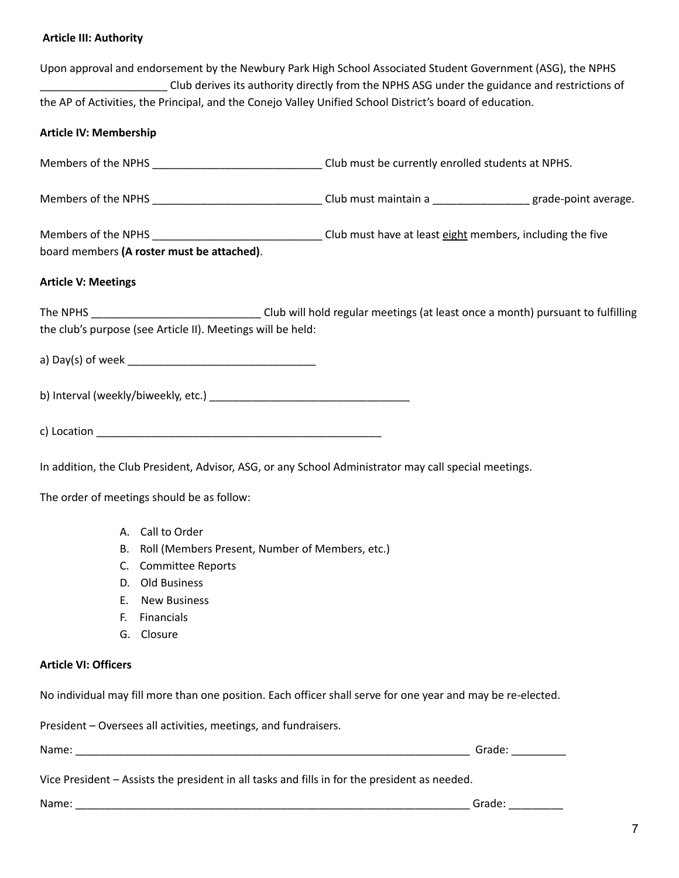# **Article III: Authority**

|                               |                                                                 | Upon approval and endorsement by the Newbury Park High School Associated Student Government (ASG), the NPHS<br>Club derives its authority directly from the NPHS ASG under the guidance and restrictions of |                                                                                                                                                                                                                                                                                                                                                                                                                                    |
|-------------------------------|-----------------------------------------------------------------|-------------------------------------------------------------------------------------------------------------------------------------------------------------------------------------------------------------|------------------------------------------------------------------------------------------------------------------------------------------------------------------------------------------------------------------------------------------------------------------------------------------------------------------------------------------------------------------------------------------------------------------------------------|
|                               |                                                                 | the AP of Activities, the Principal, and the Conejo Valley Unified School District's board of education.                                                                                                    |                                                                                                                                                                                                                                                                                                                                                                                                                                    |
| <b>Article IV: Membership</b> |                                                                 |                                                                                                                                                                                                             |                                                                                                                                                                                                                                                                                                                                                                                                                                    |
|                               |                                                                 |                                                                                                                                                                                                             |                                                                                                                                                                                                                                                                                                                                                                                                                                    |
|                               |                                                                 | Members of the NPHS ________________________________Club must maintain a ____________________grade-point average.                                                                                           |                                                                                                                                                                                                                                                                                                                                                                                                                                    |
|                               |                                                                 |                                                                                                                                                                                                             |                                                                                                                                                                                                                                                                                                                                                                                                                                    |
|                               | board members (A roster must be attached).                      |                                                                                                                                                                                                             |                                                                                                                                                                                                                                                                                                                                                                                                                                    |
| <b>Article V: Meetings</b>    |                                                                 |                                                                                                                                                                                                             |                                                                                                                                                                                                                                                                                                                                                                                                                                    |
|                               |                                                                 | The NPHS ________________________________Club will hold regular meetings (at least once a month) pursuant to fulfilling                                                                                     |                                                                                                                                                                                                                                                                                                                                                                                                                                    |
|                               | the club's purpose (see Article II). Meetings will be held:     |                                                                                                                                                                                                             |                                                                                                                                                                                                                                                                                                                                                                                                                                    |
|                               |                                                                 |                                                                                                                                                                                                             |                                                                                                                                                                                                                                                                                                                                                                                                                                    |
|                               |                                                                 |                                                                                                                                                                                                             |                                                                                                                                                                                                                                                                                                                                                                                                                                    |
|                               |                                                                 |                                                                                                                                                                                                             |                                                                                                                                                                                                                                                                                                                                                                                                                                    |
|                               |                                                                 |                                                                                                                                                                                                             |                                                                                                                                                                                                                                                                                                                                                                                                                                    |
|                               |                                                                 | In addition, the Club President, Advisor, ASG, or any School Administrator may call special meetings.                                                                                                       |                                                                                                                                                                                                                                                                                                                                                                                                                                    |
|                               | The order of meetings should be as follow:                      |                                                                                                                                                                                                             |                                                                                                                                                                                                                                                                                                                                                                                                                                    |
|                               | A. Call to Order                                                |                                                                                                                                                                                                             |                                                                                                                                                                                                                                                                                                                                                                                                                                    |
|                               | B. Roll (Members Present, Number of Members, etc.)              |                                                                                                                                                                                                             |                                                                                                                                                                                                                                                                                                                                                                                                                                    |
|                               | C. Committee Reports                                            |                                                                                                                                                                                                             |                                                                                                                                                                                                                                                                                                                                                                                                                                    |
|                               | D. Old Business                                                 |                                                                                                                                                                                                             |                                                                                                                                                                                                                                                                                                                                                                                                                                    |
|                               | E. New Business                                                 |                                                                                                                                                                                                             |                                                                                                                                                                                                                                                                                                                                                                                                                                    |
| E.                            | Financials                                                      |                                                                                                                                                                                                             |                                                                                                                                                                                                                                                                                                                                                                                                                                    |
|                               | G. Closure                                                      |                                                                                                                                                                                                             |                                                                                                                                                                                                                                                                                                                                                                                                                                    |
| <b>Article VI: Officers</b>   |                                                                 |                                                                                                                                                                                                             |                                                                                                                                                                                                                                                                                                                                                                                                                                    |
|                               |                                                                 | No individual may fill more than one position. Each officer shall serve for one year and may be re-elected.                                                                                                 |                                                                                                                                                                                                                                                                                                                                                                                                                                    |
|                               | President - Oversees all activities, meetings, and fundraisers. |                                                                                                                                                                                                             |                                                                                                                                                                                                                                                                                                                                                                                                                                    |
|                               |                                                                 |                                                                                                                                                                                                             |                                                                                                                                                                                                                                                                                                                                                                                                                                    |
|                               |                                                                 | Vice President - Assists the president in all tasks and fills in for the president as needed.                                                                                                               |                                                                                                                                                                                                                                                                                                                                                                                                                                    |
|                               |                                                                 |                                                                                                                                                                                                             | Grade: $\frac{1}{\sqrt{1-\frac{1}{2}}\cdot\sqrt{1-\frac{1}{2}}\cdot\sqrt{1-\frac{1}{2}}\cdot\sqrt{1-\frac{1}{2}}\cdot\sqrt{1-\frac{1}{2}}\cdot\sqrt{1-\frac{1}{2}}\cdot\sqrt{1-\frac{1}{2}}\cdot\sqrt{1-\frac{1}{2}}\cdot\sqrt{1-\frac{1}{2}}\cdot\sqrt{1-\frac{1}{2}}\cdot\sqrt{1-\frac{1}{2}}\cdot\sqrt{1-\frac{1}{2}}\cdot\sqrt{1-\frac{1}{2}}\cdot\sqrt{1-\frac{1}{2}}\cdot\sqrt{1-\frac{1}{2}}\cdot\sqrt{1-\frac{1}{2}}\cdot$ |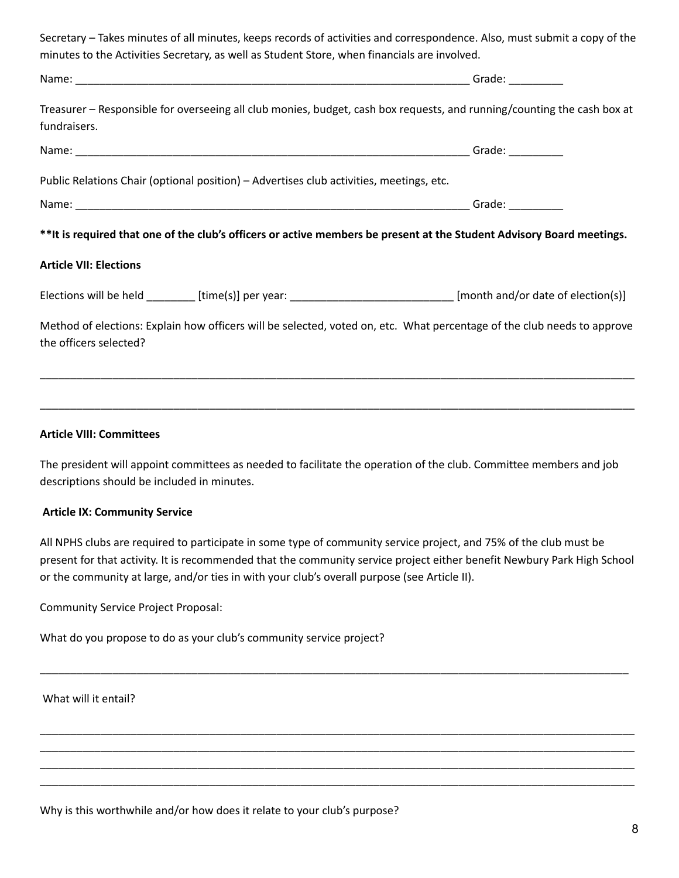| Secretary – Takes minutes of all minutes, keeps records of activities and correspondence. Also, must submit a copy of the                         |  |
|---------------------------------------------------------------------------------------------------------------------------------------------------|--|
| minutes to the Activities Secretary, as well as Student Store, when financials are involved.                                                      |  |
|                                                                                                                                                   |  |
| Treasurer - Responsible for overseeing all club monies, budget, cash box requests, and running/counting the cash box at<br>fundraisers.           |  |
|                                                                                                                                                   |  |
| Public Relations Chair (optional position) - Advertises club activities, meetings, etc.                                                           |  |
|                                                                                                                                                   |  |
| **It is required that one of the club's officers or active members be present at the Student Advisory Board meetings.                             |  |
| <b>Article VII: Elections</b>                                                                                                                     |  |
| Elections will be held ________ [time(s)] per year: ____________________________ [month and/or date of election(s)]                               |  |
| Method of elections: Explain how officers will be selected, voted on, etc. What percentage of the club needs to approve<br>the officers selected? |  |
|                                                                                                                                                   |  |

#### **Article VIII: Committees**

The president will appoint committees as needed to facilitate the operation of the club. Committee members and job descriptions should be included in minutes.

\_\_\_\_\_\_\_\_\_\_\_\_\_\_\_\_\_\_\_\_\_\_\_\_\_\_\_\_\_\_\_\_\_\_\_\_\_\_\_\_\_\_\_\_\_\_\_\_\_\_\_\_\_\_\_\_\_\_\_\_\_\_\_\_\_\_\_\_\_\_\_\_\_\_\_\_\_\_\_\_\_\_\_\_\_\_\_\_\_\_\_\_\_\_\_\_\_\_

#### **Article IX: Community Service**

All NPHS clubs are required to participate in some type of community service project, and 75% of the club must be present for that activity. It is recommended that the community service project either benefit Newbury Park High School or the community at large, and/or ties in with your club's overall purpose (see Article II).

\_\_\_\_\_\_\_\_\_\_\_\_\_\_\_\_\_\_\_\_\_\_\_\_\_\_\_\_\_\_\_\_\_\_\_\_\_\_\_\_\_\_\_\_\_\_\_\_\_\_\_\_\_\_\_\_\_\_\_\_\_\_\_\_\_\_\_\_\_\_\_\_\_\_\_\_\_\_\_\_\_\_\_\_\_\_\_\_\_\_\_\_\_\_\_\_\_

\_\_\_\_\_\_\_\_\_\_\_\_\_\_\_\_\_\_\_\_\_\_\_\_\_\_\_\_\_\_\_\_\_\_\_\_\_\_\_\_\_\_\_\_\_\_\_\_\_\_\_\_\_\_\_\_\_\_\_\_\_\_\_\_\_\_\_\_\_\_\_\_\_\_\_\_\_\_\_\_\_\_\_\_\_\_\_\_\_\_\_\_\_\_\_\_\_\_ \_\_\_\_\_\_\_\_\_\_\_\_\_\_\_\_\_\_\_\_\_\_\_\_\_\_\_\_\_\_\_\_\_\_\_\_\_\_\_\_\_\_\_\_\_\_\_\_\_\_\_\_\_\_\_\_\_\_\_\_\_\_\_\_\_\_\_\_\_\_\_\_\_\_\_\_\_\_\_\_\_\_\_\_\_\_\_\_\_\_\_\_\_\_\_\_\_\_ \_\_\_\_\_\_\_\_\_\_\_\_\_\_\_\_\_\_\_\_\_\_\_\_\_\_\_\_\_\_\_\_\_\_\_\_\_\_\_\_\_\_\_\_\_\_\_\_\_\_\_\_\_\_\_\_\_\_\_\_\_\_\_\_\_\_\_\_\_\_\_\_\_\_\_\_\_\_\_\_\_\_\_\_\_\_\_\_\_\_\_\_\_\_\_\_\_\_ \_\_\_\_\_\_\_\_\_\_\_\_\_\_\_\_\_\_\_\_\_\_\_\_\_\_\_\_\_\_\_\_\_\_\_\_\_\_\_\_\_\_\_\_\_\_\_\_\_\_\_\_\_\_\_\_\_\_\_\_\_\_\_\_\_\_\_\_\_\_\_\_\_\_\_\_\_\_\_\_\_\_\_\_\_\_\_\_\_\_\_\_\_\_\_\_\_\_

Community Service Project Proposal:

What do you propose to do as your club's community service project?

What will it entail?

Why is this worthwhile and/or how does it relate to your club's purpose?